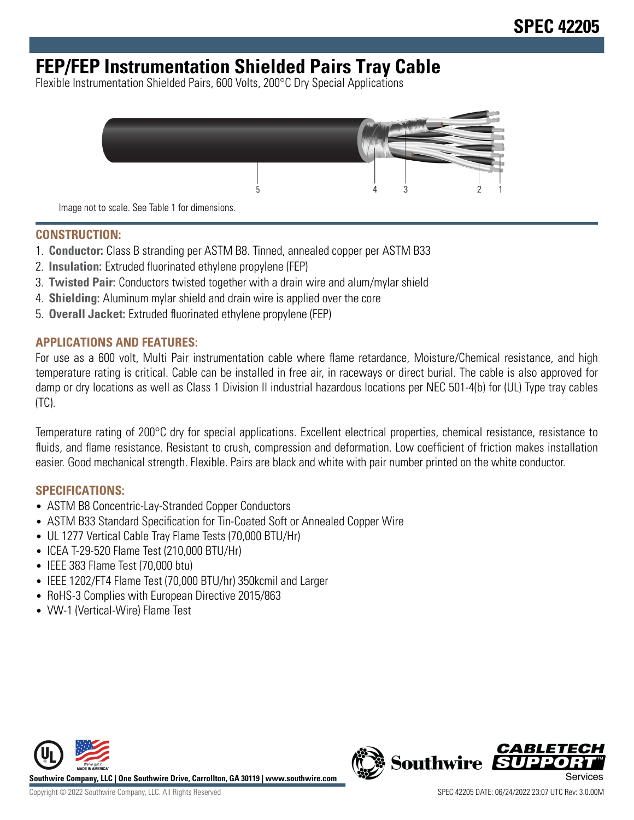# **FEP/FEP Instrumentation Shielded Pairs Tray Cable**

Flexible Instrumentation Shielded Pairs, 600 Volts, 200°C Dry Special Applications



Image not to scale. See Table 1 for dimensions.

#### **CONSTRUCTION:**

- 1. **Conductor:** Class B stranding per ASTM B8. Tinned, annealed copper per ASTM B33
- 2. **Insulation:** Extruded fluorinated ethylene propylene (FEP)
- 3. **Twisted Pair:** Conductors twisted together with a drain wire and alum/mylar shield
- 4. **Shielding:** Aluminum mylar shield and drain wire is applied over the core
- 5. **Overall Jacket:** Extruded fluorinated ethylene propylene (FEP)

### **APPLICATIONS AND FEATURES:**

For use as a 600 volt, Multi Pair instrumentation cable where flame retardance, Moisture/Chemical resistance, and high temperature rating is critical. Cable can be installed in free air, in raceways or direct burial. The cable is also approved for damp or dry locations as well as Class 1 Division II industrial hazardous locations per NEC 501-4(b) for (UL) Type tray cables (TC).

Temperature rating of 200°C dry for special applications. Excellent electrical properties, chemical resistance, resistance to fluids, and flame resistance. Resistant to crush, compression and deformation. Low coefficient of friction makes installation easier. Good mechanical strength. Flexible. Pairs are black and white with pair number printed on the white conductor.

### **SPECIFICATIONS:**

- ASTM B8 Concentric-Lay-Stranded Copper Conductors
- ASTM B33 Standard Specification for Tin-Coated Soft or Annealed Copper Wire
- UL 1277 Vertical Cable Tray Flame Tests (70,000 BTU/Hr)
- ICEA T-29-520 Flame Test (210,000 BTU/Hr)
- IEEE 383 Flame Test (70,000 btu)
- IEEE 1202/FT4 Flame Test (70,000 BTU/hr) 350kcmil and Larger
- RoHS-3 Complies with European Directive 2015/863
- VW-1 (Vertical-Wire) Flame Test